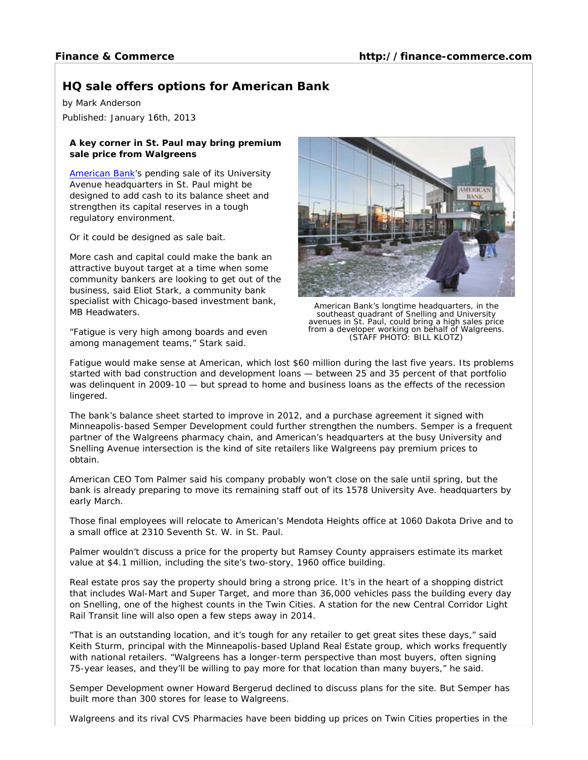## **HQ sale offers options for American Bank**

by Mark Anderson

Published: January 16th, 2013

## **A key corner in St. Paul may bring premium sale price from Walgreens**

American Bank's pending sale of its University Avenue headquarters in St. Paul might be designed to add cash to its balance sheet and strengthen its capital reserves in a tough regulatory environment.

Or it could be designed as sale bait.

More cash and capital could make the bank an attractive buyout target at a time when some community bankers are looking to get out of the business, said Eliot Stark, a community bank specialist with Chicago-based investment bank, MB Headwaters.

"Fatigue is very high among boards and even among management teams," Stark said.



American Bank's longtime headquarters, in the southeast quadrant of Snelling and University avenues in St. Paul, could bring a high sales price from a developer working on behalf of Walgreens. (STAFF PHOTO: BILL KLOTZ)

Fatigue would make sense at American, which lost \$60 million during the last five years. Its problems started with bad construction and development loans — between 25 and 35 percent of that portfolio was delinquent in 2009-10 — but spread to home and business loans as the effects of the recession lingered.

The bank's balance sheet started to improve in 2012, and a purchase agreement it signed with Minneapolis-based Semper Development could further strengthen the numbers. Semper is a frequent partner of the Walgreens pharmacy chain, and American's headquarters at the busy University and Snelling Avenue intersection is the kind of site retailers like Walgreens pay premium prices to obtain.

American CEO Tom Palmer said his company probably won't close on the sale until spring, but the bank is already preparing to move its remaining staff out of its 1578 University Ave. headquarters by early March.

Those final employees will relocate to American's Mendota Heights office at 1060 Dakota Drive and to a small office at 2310 Seventh St. W. in St. Paul.

Palmer wouldn't discuss a price for the property but Ramsey County appraisers estimate its market value at \$4.1 million, including the site's two-story, 1960 office building.

Real estate pros say the property should bring a strong price. It's in the heart of a shopping district that includes Wal-Mart and Super Target, and more than 36,000 vehicles pass the building every day on Snelling, one of the highest counts in the Twin Cities. A station for the new Central Corridor Light Rail Transit line will also open a few steps away in 2014.

"That is an outstanding location, and it's tough for any retailer to get great sites these days," said Keith Sturm, principal with the Minneapolis-based Upland Real Estate group, which works frequently with national retailers. "Walgreens has a longer-term perspective than most buyers, often signing 75-year leases, and they'll be willing to pay more for that location than many buyers," he said.

Semper Development owner Howard Bergerud declined to discuss plans for the site. But Semper has built more than 300 stores for lease to Walgreens.

Walgreens and its rival CVS Pharmacies have been bidding up prices on Twin Cities properties in the